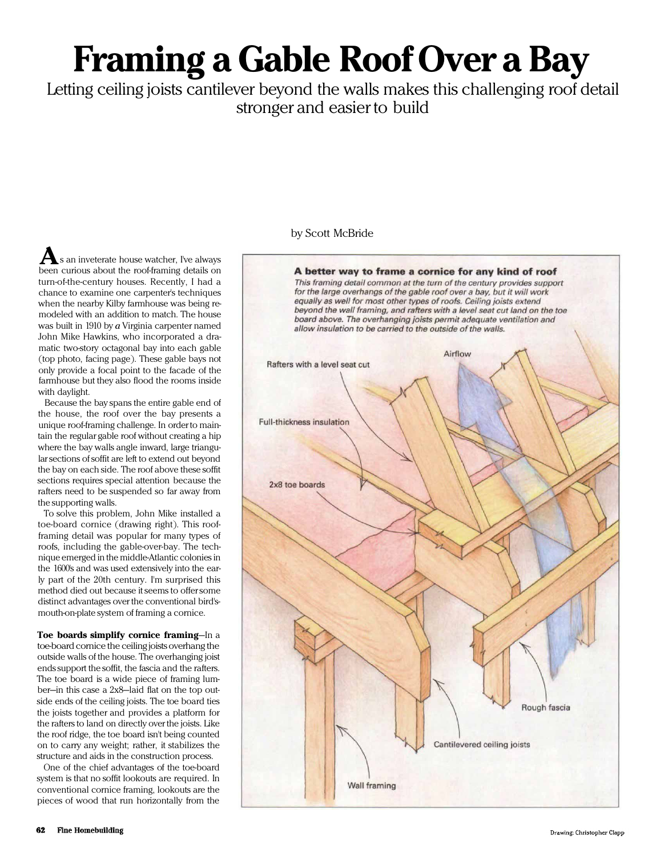## Framing a Gable Roof Over a Bay

Letting ceiling joists cantilever beyond the walls makes this challenging roof detail stronger and easier to build

## by Scott McBride

A better way to frame a cornice for any kind of roof<br>This framing detail common at the turn of the century provides support for the large overhangs of the gable roof over a bay, but it will work equally as well for most other types of roofs. Ceiling joists extend beyond the wall framing, and rafters with a level seat cut land on the toe *beyond the wall framing, and rafters with a level seat cut land on the toe board above. The overhanging joists permit adequate ventilation and allow insulation to be carried to the outside of the walls.* Airflow Rafters with a level seat cut Full-thickness insulation 2x8 toe boards Rough fascia Cantilevered ceiling joists **Wall framing** 

s an inveterate house watcher, I've always  $\mathbf A$ s an inveterate house watcher, I've always<br>been curious about the roof-framing details on turn-of-the-century houses. Recently, I had a chance to examine one carpenter's techniques when the nearby Kilby farmhouse was being remodeled with an addition to match. The house was built in 1910 by *a* Virginia carpenter named John Mike Hawkins, who incorporated a dramatic two-story octagonal bay into each gable (top photo, facing page). These gable bays not only provide a focal point to the facade of the farmhouse but they also flood the rooms inside with daylight.

Because the bay spans the entire gable end of the house, the roof over the bay presents a unique roof-framing challenge. In order to maintain the regular gable roof without creating a hip where the bay walls angle inward, large triangular sections of soffit are left to extend out beyond the bay on each side. The roof above these soffit sections requires special attention because the rafters need to be suspended so far away from the supporting walls.

To solve this problem, John Mike installed a toe-board cornice (drawing right). This roofframing detail was popular for many types of roofs, including the gable-over-bay. The technique emerged in the middle-Atlantic colonies in the 1600's and was used extensively into the early part of the 20th century. I'm surprised this method died out because it seems to offer some distinct advantages over the conventional bird'smouth-on-plate system of framing a cornice.

Toe boards simplify cornice framing—In a toe-board cornice the ceiling joists overhang the outside walls of the house. The overhanging joist ends support the soffit, the fascia and the rafters. The toe board is a wide piece of framing lumber—in this case a 2x8—laid flat on the top outside ends of the ceiling joists. The toe board ties the joists together and provides a platform for the rafters to land on directly over the joists. Like the roof ridge, the toe board isn't being counted on to carry any weight; rather, it stabilizes the structure and aids in the construction process.

One of the chief advantages of the toe-board system is that no soffit lookouts are required. In conventional cornice framing, lookouts are the pieces of wood that run horizontally from the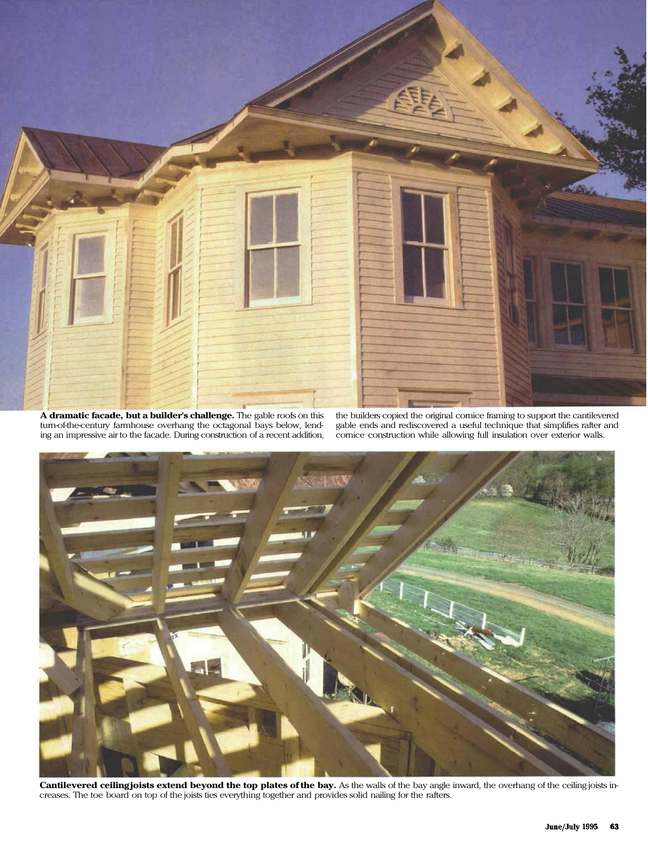

A dramatic facade, but a builder's challenge. The gable roofs on this turn-of-the-century farmhouse overhang the octagonal bays below, lending an impressive air to the facade. During construction of a recent addition,

the builders copied the original cornice framing to support the cantilevered gable ends and rediscovered a useful technique that simplifies rafter and cornice construction while allowing full insulation over exterior walls.



Cantilevered ceilingjoists extend beyond the top plates of the bay. As the walls of the bay angle inward, the overhang of the ceiling joists increases. The toe board on top of the joists ties everything together and provides solid nailing for the rafters.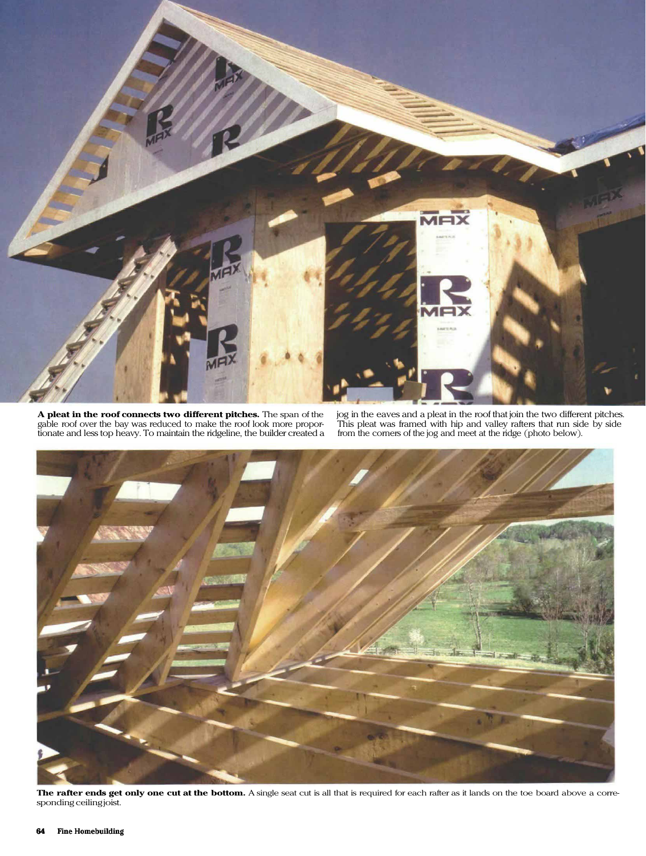

A pleat in the roof connects two different pitches. The span of the gable roof over the bay was reduced to make the roof look more proportionate and less top heavy. To maintain the ridgeline, the builder created a

jog in the eaves and a pleat in the roof that join the two different pitches. This pleat was framed with hip and valley rafters that run side by side from the corners of the jog and meet at the ridge (photo below).



The rafter ends get only one cut at the bottom. A single seat cut is all that is required for each rafter as it lands on the toe board above a corresponding ceiling joist.